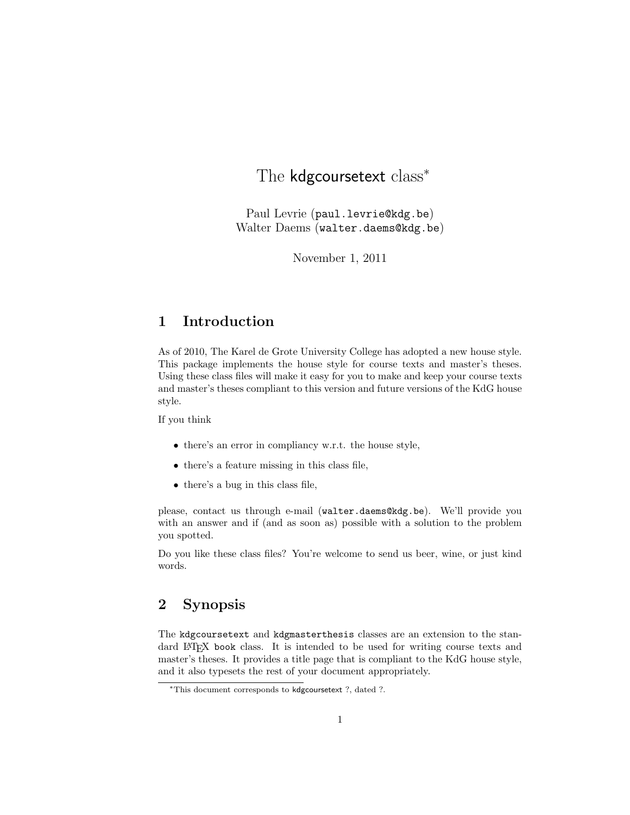# The kdgcoursetext class<sup>\*</sup>

Paul Levrie (paul.levrie@kdg.be) Walter Daems (walter.daems@kdg.be)

November 1, 2011

# 1 Introduction

As of 2010, The Karel de Grote University College has adopted a new house style. This package implements the house style for course texts and master's theses. Using these class files will make it easy for you to make and keep your course texts and master's theses compliant to this version and future versions of the KdG house style.

If you think

- there's an error in compliancy w.r.t. the house style,
- there's a feature missing in this class file,
- there's a bug in this class file,

please, contact us through e-mail (walter.daems@kdg.be). We'll provide you with an answer and if (and as soon as) possible with a solution to the problem you spotted.

Do you like these class files? You're welcome to send us beer, wine, or just kind words.

# 2 Synopsis

The kdgcoursetext and kdgmasterthesis classes are an extension to the standard LATEX book class. It is intended to be used for writing course texts and master's theses. It provides a title page that is compliant to the KdG house style, and it also typesets the rest of your document appropriately.

<sup>∗</sup>This document corresponds to kdgcoursetext ?, dated ?.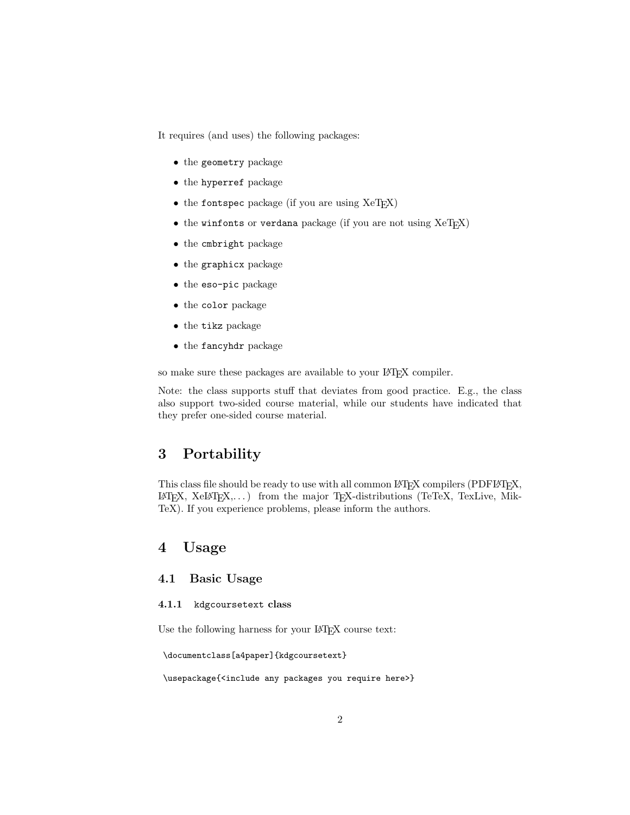It requires (and uses) the following packages:

- the geometry package
- the hyperref package
- the fontspec package (if you are using XeTEX)
- $\bullet$  the winfonts or verdana package (if you are not using  $XeTFX$ )
- the cmbright package
- the graphicx package
- the eso-pic package
- the color package
- the tikz package
- the fancyhdr package

so make sure these packages are available to your LATEX compiler.

Note: the class supports stuff that deviates from good practice. E.g., the class also support two-sided course material, while our students have indicated that they prefer one-sided course material.

# 3 Portability

This class file should be ready to use with all common LAT<sub>EX</sub> compilers (PDFLAT<sub>EX</sub>,  $L^2$ EX, XeLAT<sub>E</sub>X,...) from the major T<sub>E</sub>X-distributions (TeTeX, TexLive, Mik-TeX). If you experience problems, please inform the authors.

### 4 Usage

### 4.1 Basic Usage

#### 4.1.1 kdgcoursetext class

Use the following harness for your LAT<sub>E</sub>X course text:

```
\documentclass[a4paper]{kdgcoursetext}
```
\usepackage{<include any packages you require here>}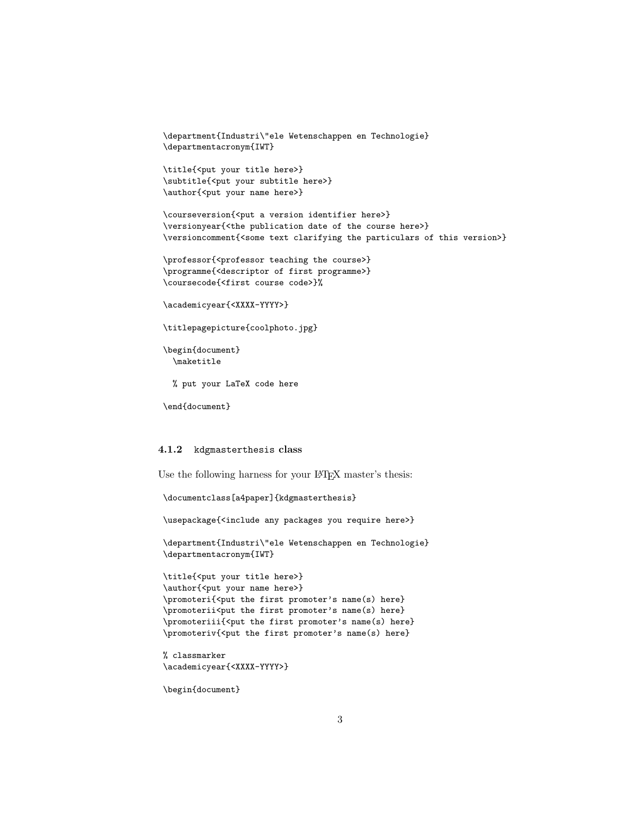```
\department{Industri\"ele Wetenschappen en Technologie}
\departmentacronym{IWT}
```

```
\title{<put your title here>}
\subtitle{<put your subtitle here>}
\author{<put your name here>}
```

```
\courseversion{<put a version identifier here>}
\versionyear{<the publication date of the course here>}
\versioncomment{<some text clarifying the particulars of this version>}
```

```
\professor{<professor teaching the course>}
\programme{<descriptor of first programme>}
\coursecode{<first course code>}%
```

```
\academicyear{<XXXX-YYYY>}
```

```
\titlepagepicture{coolphoto.jpg}
```

```
\begin{document}
 \maketitle
```
% put your LaTeX code here

```
\end{document}
```
#### 4.1.2 kdgmasterthesis class

Use the following harness for your LAT<sub>EX</sub> master's thesis:

```
\documentclass[a4paper]{kdgmasterthesis}
```
\usepackage{<include any packages you require here>}

\department{Industri\"ele Wetenschappen en Technologie} \departmentacronym{IWT}

```
\title{<put your title here>}
\author{<put your name here>}
\promoteri{<put the first promoter's name(s) here}
\promoterii<put the first promoter's name(s) here}
\promoteriii{<put the first promoter's name(s) here}
\promoteriv{<put the first promoter's name(s) here}
```

```
% classmarker
\academicyear{<XXXX-YYYY>}
```
\begin{document}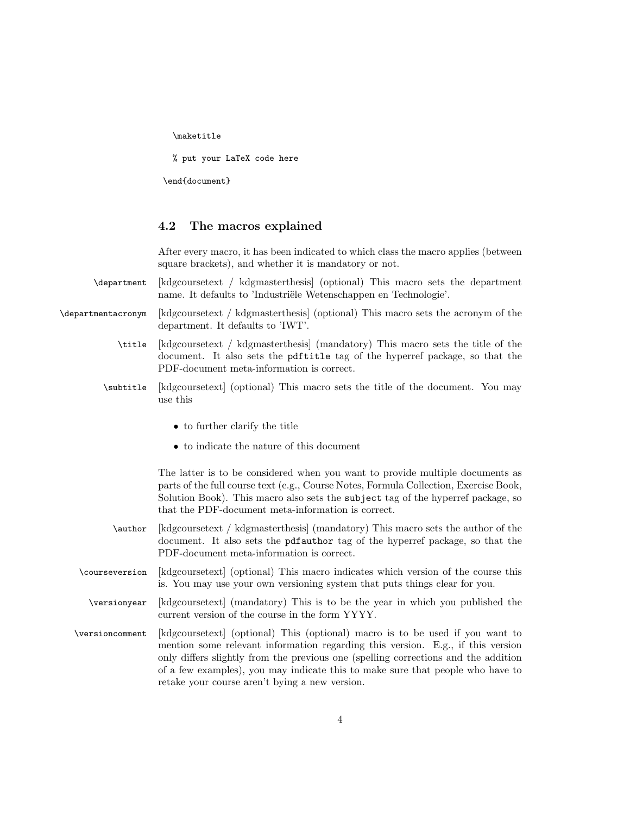\maketitle

% put your LaTeX code here

\end{document}

### 4.2 The macros explained

After every macro, it has been indicated to which class the macro applies (between square brackets), and whether it is mandatory or not.

- \department [kdgcoursetext / kdgmasterthesis] (optional) This macro sets the department name. It defaults to 'Industriële Wetenschappen en Technologie'.
- \departmentacronym [kdgcoursetext / kdgmasterthesis] (optional) This macro sets the acronym of the department. It defaults to 'IWT'.
	- \title [kdgcoursetext / kdgmasterthesis] (mandatory) This macro sets the title of the document. It also sets the pdftitle tag of the hyperref package, so that the PDF-document meta-information is correct.
	- \subtitle [kdgcoursetext] (optional) This macro sets the title of the document. You may use this
		- to further clarify the title
		- to indicate the nature of this document

The latter is to be considered when you want to provide multiple documents as parts of the full course text (e.g., Course Notes, Formula Collection, Exercise Book, Solution Book). This macro also sets the subject tag of the hyperref package, so that the PDF-document meta-information is correct.

- \author [kdgcoursetext / kdgmasterthesis] (mandatory) This macro sets the author of the document. It also sets the pdfauthor tag of the hyperref package, so that the PDF-document meta-information is correct.
- \courseversion [kdgcoursetext] (optional) This macro indicates which version of the course this is. You may use your own versioning system that puts things clear for you.
- \versionyear [kdgcoursetext] (mandatory) This is to be the year in which you published the current version of the course in the form YYYY.
- \versioncomment [kdgcoursetext] (optional) This (optional) macro is to be used if you want to mention some relevant information regarding this version. E.g., if this version only differs slightly from the previous one (spelling corrections and the addition of a few examples), you may indicate this to make sure that people who have to retake your course aren't bying a new version.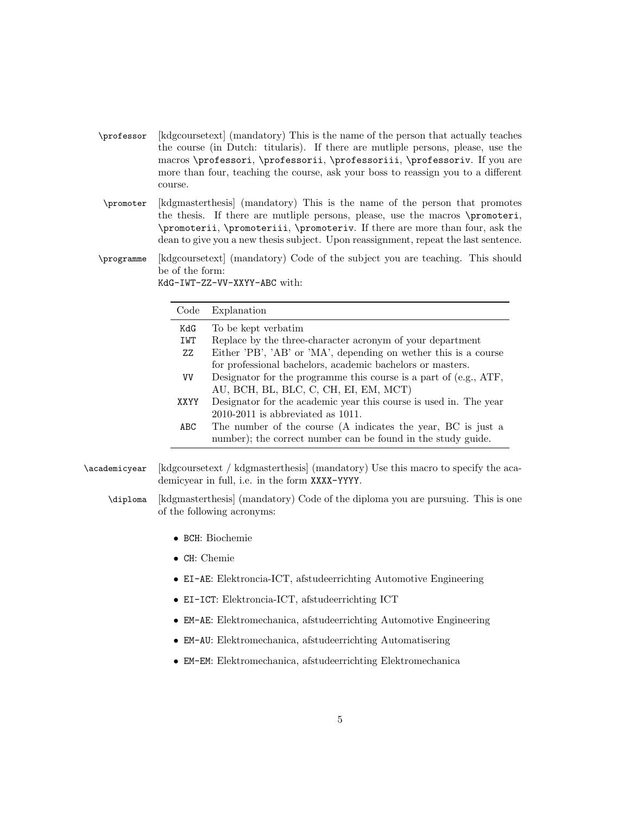- \professor [kdgcoursetext] (mandatory) This is the name of the person that actually teaches the course (in Dutch: titularis). If there are mutliple persons, please, use the macros \professori, \professorii, \professoriii, \professoriv. If you are more than four, teaching the course, ask your boss to reassign you to a different course.
- \promoter [kdgmasterthesis] (mandatory) This is the name of the person that promotes the thesis. If there are mutliple persons, please, use the macros \promoteri, \promoterii, \promoteriii, \promoteriv. If there are more than four, ask the dean to give you a new thesis subject. Upon reassignment, repeat the last sentence.
- \programme [kdgcoursetext] (mandatory) Code of the subject you are teaching. This should be of the form: KdG-IWT-ZZ-VV-XXYY-ABC with:

| Code      | Explanation                                                       |
|-----------|-------------------------------------------------------------------|
| KdG       | To be kept verbatim                                               |
| IWT       | Replace by the three-character acronym of your department         |
| ZZ        | Either 'PB', 'AB' or 'MA', depending on wether this is a course   |
|           | for professional bachelors, academic bachelors or masters.        |
| <b>VV</b> | Designator for the programme this course is a part of (e.g., ATF, |
|           | AU, BCH, BL, BLC, C, CH, EI, EM, MCT)                             |
| XXYY      | Designator for the academic year this course is used in. The year |
|           | $2010-2011$ is abbreviated as $1011$ .                            |
| ABC       | The number of the course (A indicates the year, BC is just a      |
|           | number); the correct number can be found in the study guide.      |

\academicyear [kdgcoursetext / kdgmasterthesis] (mandatory) Use this macro to specify the academicyear in full, i.e. in the form XXXX-YYYY.

- \diploma [kdgmasterthesis] (mandatory) Code of the diploma you are pursuing. This is one of the following acronyms:
	- BCH: Biochemie
	- CH: Chemie
	- EI-AE: Elektroncia-ICT, afstudeerrichting Automotive Engineering
	- EI-ICT: Elektroncia-ICT, afstudeerrichting ICT
	- EM-AE: Elektromechanica, afstudeerrichting Automotive Engineering
	- EM-AU: Elektromechanica, afstudeerrichting Automatisering
	- EM-EM: Elektromechanica, afstudeerrichting Elektromechanica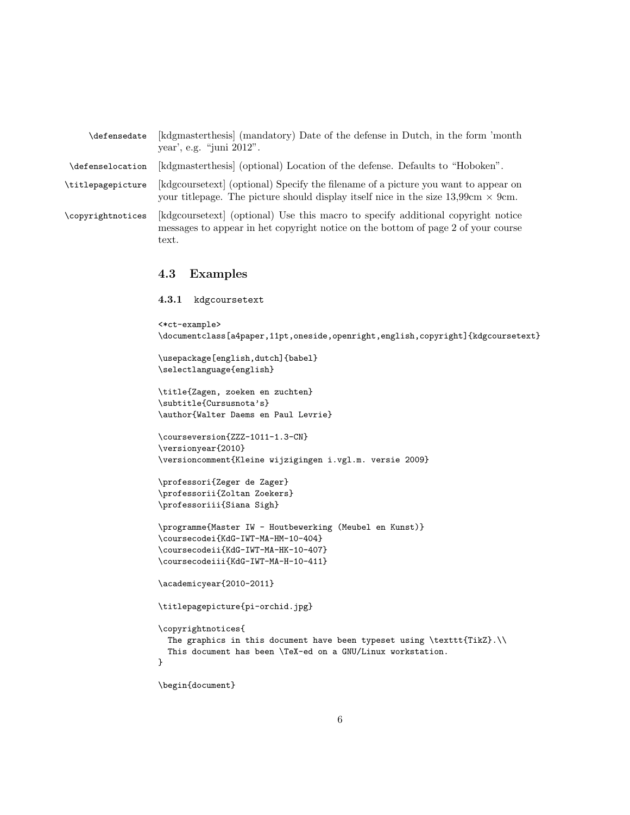| $\texttt{defensedate}$ | [kdgmasterthesis] (mandatory) Date of the defense in Dutch, in the form 'month'<br>year', e.g. "juni $2012$ ".                                                                                  |
|------------------------|-------------------------------------------------------------------------------------------------------------------------------------------------------------------------------------------------|
| \defenselocation       | [kdgmasterthesis] (optional) Location of the defense. Defaults to "Hoboken".                                                                                                                    |
| \titlepagepicture      | [kdgcoursetext] (optional) Specify the filename of a picture you want to appear on<br>your titlepage. The picture should display itself nice in the size $13,99 \text{cm} \times 9 \text{cm}$ . |
| \copyrightnotices      | [kdgcoursetext] (optional) Use this macro to specify additional copyright notice<br>messages to appear in het copyright notice on the bottom of page 2 of your course<br>text.                  |

### 4.3 Examples

### 4.3.1 kdgcoursetext

```
<*ct-example>
\documentclass[a4paper,11pt,oneside,openright,english,copyright]{kdgcoursetext}
\usepackage[english,dutch]{babel}
\selectlanguage{english}
\title{Zagen, zoeken en zuchten}
\subtitle{Cursusnota's}
\author{Walter Daems en Paul Levrie}
\courseversion{ZZZ-1011-1.3-CN}
\versionyear{2010}
\versioncomment{Kleine wijzigingen i.vgl.m. versie 2009}
\professori{Zeger de Zager}
\professorii{Zoltan Zoekers}
\professoriii{Siana Sigh}
\programme{Master IW - Houtbewerking (Meubel en Kunst)}
\coursecodei{KdG-IWT-MA-HM-10-404}
\coursecodeii{KdG-IWT-MA-HK-10-407}
\coursecodeiii{KdG-IWT-MA-H-10-411}
\academicyear{2010-2011}
\titlepagepicture{pi-orchid.jpg}
\copyrightnotices{
 The graphics in this document have been typeset using \texttt{TikZ}.\\
 This document has been \TeX-ed on a GNU/Linux workstation.
}
\begin{document}
```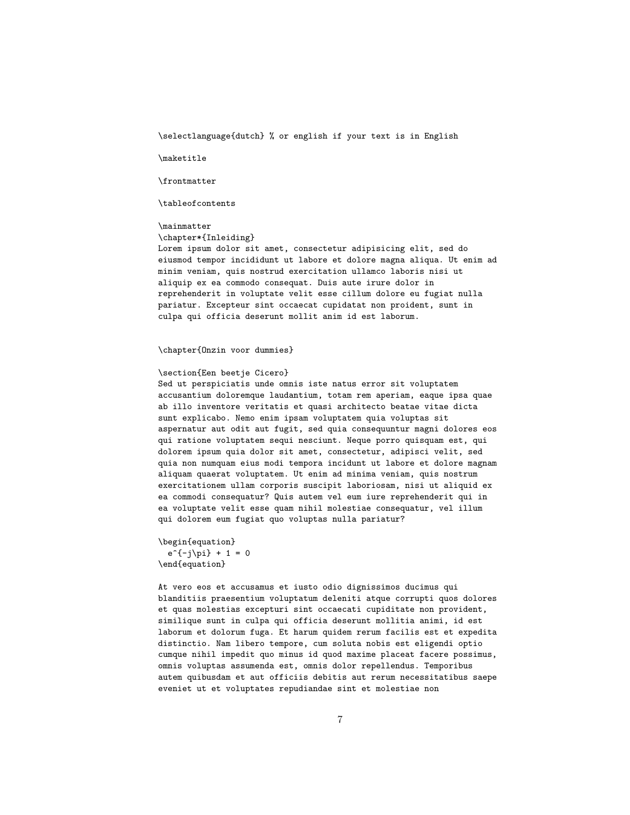\selectlanguage{dutch} % or english if your text is in English

\maketitle

\frontmatter

\tableofcontents

\mainmatter

\chapter\*{Inleiding}

Lorem ipsum dolor sit amet, consectetur adipisicing elit, sed do eiusmod tempor incididunt ut labore et dolore magna aliqua. Ut enim ad minim veniam, quis nostrud exercitation ullamco laboris nisi ut aliquip ex ea commodo consequat. Duis aute irure dolor in reprehenderit in voluptate velit esse cillum dolore eu fugiat nulla pariatur. Excepteur sint occaecat cupidatat non proident, sunt in culpa qui officia deserunt mollit anim id est laborum.

\chapter{Onzin voor dummies}

### \section{Een beetje Cicero}

Sed ut perspiciatis unde omnis iste natus error sit voluptatem accusantium doloremque laudantium, totam rem aperiam, eaque ipsa quae ab illo inventore veritatis et quasi architecto beatae vitae dicta sunt explicabo. Nemo enim ipsam voluptatem quia voluptas sit aspernatur aut odit aut fugit, sed quia consequuntur magni dolores eos qui ratione voluptatem sequi nesciunt. Neque porro quisquam est, qui dolorem ipsum quia dolor sit amet, consectetur, adipisci velit, sed quia non numquam eius modi tempora incidunt ut labore et dolore magnam aliquam quaerat voluptatem. Ut enim ad minima veniam, quis nostrum exercitationem ullam corporis suscipit laboriosam, nisi ut aliquid ex ea commodi consequatur? Quis autem vel eum iure reprehenderit qui in ea voluptate velit esse quam nihil molestiae consequatur, vel illum qui dolorem eum fugiat quo voluptas nulla pariatur?

```
\begin{equation}
  e^{(-j\pi)} + 1 = 0\end{equation}
```
At vero eos et accusamus et iusto odio dignissimos ducimus qui blanditiis praesentium voluptatum deleniti atque corrupti quos dolores et quas molestias excepturi sint occaecati cupiditate non provident, similique sunt in culpa qui officia deserunt mollitia animi, id est laborum et dolorum fuga. Et harum quidem rerum facilis est et expedita distinctio. Nam libero tempore, cum soluta nobis est eligendi optio cumque nihil impedit quo minus id quod maxime placeat facere possimus, omnis voluptas assumenda est, omnis dolor repellendus. Temporibus autem quibusdam et aut officiis debitis aut rerum necessitatibus saepe eveniet ut et voluptates repudiandae sint et molestiae non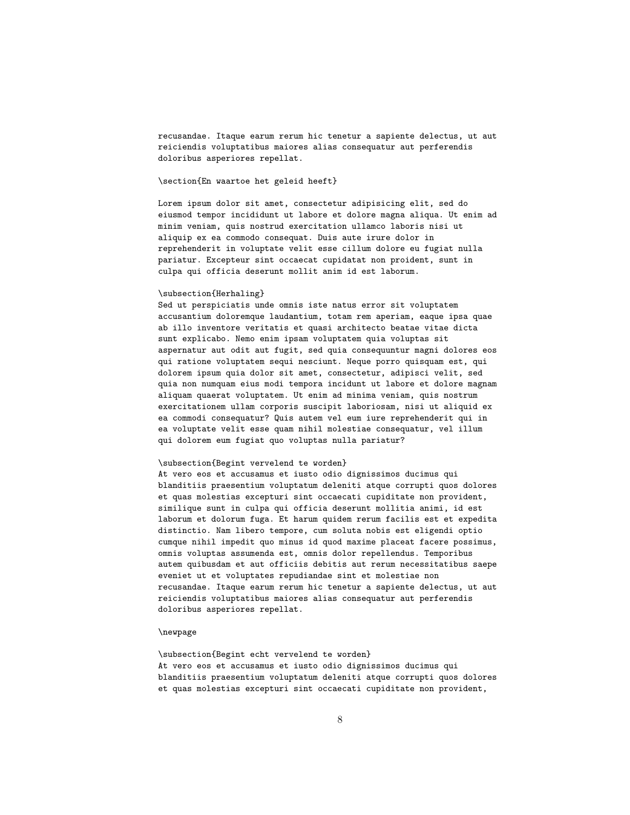recusandae. Itaque earum rerum hic tenetur a sapiente delectus, ut aut reiciendis voluptatibus maiores alias consequatur aut perferendis doloribus asperiores repellat.

#### \section{En waartoe het geleid heeft}

Lorem ipsum dolor sit amet, consectetur adipisicing elit, sed do eiusmod tempor incididunt ut labore et dolore magna aliqua. Ut enim ad minim veniam, quis nostrud exercitation ullamco laboris nisi ut aliquip ex ea commodo consequat. Duis aute irure dolor in reprehenderit in voluptate velit esse cillum dolore eu fugiat nulla pariatur. Excepteur sint occaecat cupidatat non proident, sunt in culpa qui officia deserunt mollit anim id est laborum.

#### \subsection{Herhaling}

Sed ut perspiciatis unde omnis iste natus error sit voluptatem accusantium doloremque laudantium, totam rem aperiam, eaque ipsa quae ab illo inventore veritatis et quasi architecto beatae vitae dicta sunt explicabo. Nemo enim ipsam voluptatem quia voluptas sit aspernatur aut odit aut fugit, sed quia consequuntur magni dolores eos qui ratione voluptatem sequi nesciunt. Neque porro quisquam est, qui dolorem ipsum quia dolor sit amet, consectetur, adipisci velit, sed quia non numquam eius modi tempora incidunt ut labore et dolore magnam aliquam quaerat voluptatem. Ut enim ad minima veniam, quis nostrum exercitationem ullam corporis suscipit laboriosam, nisi ut aliquid ex ea commodi consequatur? Quis autem vel eum iure reprehenderit qui in ea voluptate velit esse quam nihil molestiae consequatur, vel illum qui dolorem eum fugiat quo voluptas nulla pariatur?

#### \subsection{Begint vervelend te worden}

At vero eos et accusamus et iusto odio dignissimos ducimus qui blanditiis praesentium voluptatum deleniti atque corrupti quos dolores et quas molestias excepturi sint occaecati cupiditate non provident, similique sunt in culpa qui officia deserunt mollitia animi, id est laborum et dolorum fuga. Et harum quidem rerum facilis est et expedita distinctio. Nam libero tempore, cum soluta nobis est eligendi optio cumque nihil impedit quo minus id quod maxime placeat facere possimus, omnis voluptas assumenda est, omnis dolor repellendus. Temporibus autem quibusdam et aut officiis debitis aut rerum necessitatibus saepe eveniet ut et voluptates repudiandae sint et molestiae non recusandae. Itaque earum rerum hic tenetur a sapiente delectus, ut aut reiciendis voluptatibus maiores alias consequatur aut perferendis doloribus asperiores repellat.

#### \newpage

\subsection{Begint echt vervelend te worden} At vero eos et accusamus et iusto odio dignissimos ducimus qui blanditiis praesentium voluptatum deleniti atque corrupti quos dolores et quas molestias excepturi sint occaecati cupiditate non provident,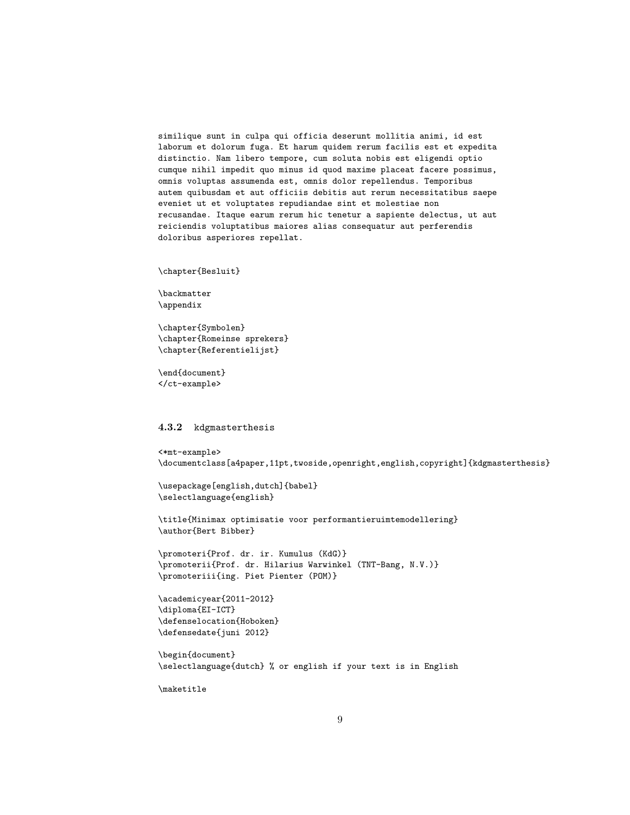similique sunt in culpa qui officia deserunt mollitia animi, id est laborum et dolorum fuga. Et harum quidem rerum facilis est et expedita distinctio. Nam libero tempore, cum soluta nobis est eligendi optio cumque nihil impedit quo minus id quod maxime placeat facere possimus, omnis voluptas assumenda est, omnis dolor repellendus. Temporibus autem quibusdam et aut officiis debitis aut rerum necessitatibus saepe eveniet ut et voluptates repudiandae sint et molestiae non recusandae. Itaque earum rerum hic tenetur a sapiente delectus, ut aut reiciendis voluptatibus maiores alias consequatur aut perferendis doloribus asperiores repellat.

\chapter{Besluit}

\backmatter \appendix

\chapter{Symbolen} \chapter{Romeinse sprekers} \chapter{Referentielijst}

\end{document} </ct-example>

#### 4.3.2 kdgmasterthesis

```
<*mt-example>
\documentclass[a4paper,11pt,twoside,openright,english,copyright]{kdgmasterthesis}
\usepackage[english,dutch]{babel}
\selectlanguage{english}
\title{Minimax optimisatie voor performantieruimtemodellering}
\author{Bert Bibber}
\promoteri{Prof. dr. ir. Kumulus (KdG)}
\promoterii{Prof. dr. Hilarius Warwinkel (TNT-Bang, N.V.)}
\promoteriii{ing. Piet Pienter (POM)}
\academicyear{2011-2012}
\diploma{EI-ICT}
\defenselocation{Hoboken}
\defensedate{juni 2012}
\begin{document}
\selectlanguage{dutch} % or english if your text is in English
```
\maketitle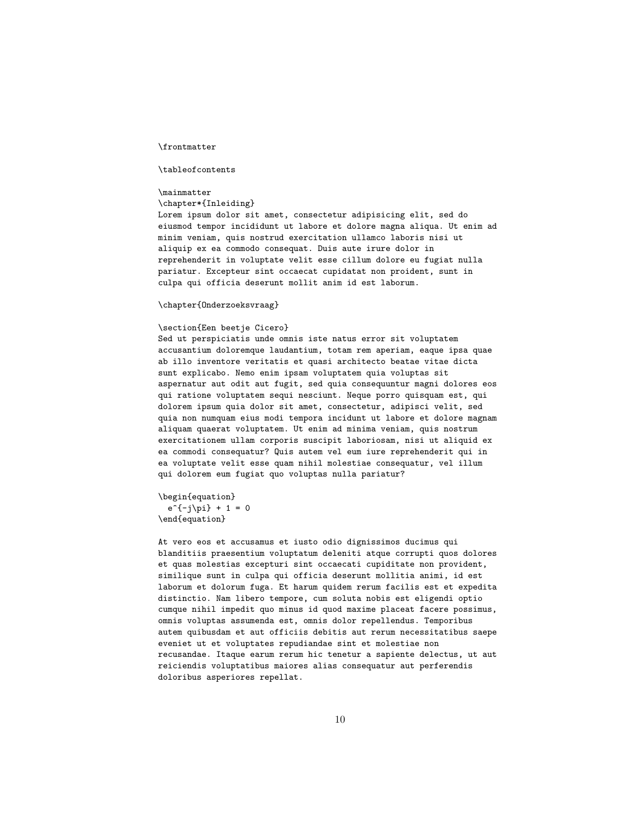#### \frontmatter

#### \tableofcontents

#### \mainmatter

#### \chapter\*{Inleiding}

Lorem ipsum dolor sit amet, consectetur adipisicing elit, sed do eiusmod tempor incididunt ut labore et dolore magna aliqua. Ut enim ad minim veniam, quis nostrud exercitation ullamco laboris nisi ut aliquip ex ea commodo consequat. Duis aute irure dolor in reprehenderit in voluptate velit esse cillum dolore eu fugiat nulla pariatur. Excepteur sint occaecat cupidatat non proident, sunt in culpa qui officia deserunt mollit anim id est laborum.

#### \chapter{Onderzoeksvraag}

#### \section{Een beetje Cicero}

Sed ut perspiciatis unde omnis iste natus error sit voluptatem accusantium doloremque laudantium, totam rem aperiam, eaque ipsa quae ab illo inventore veritatis et quasi architecto beatae vitae dicta sunt explicabo. Nemo enim ipsam voluptatem quia voluptas sit aspernatur aut odit aut fugit, sed quia consequuntur magni dolores eos qui ratione voluptatem sequi nesciunt. Neque porro quisquam est, qui dolorem ipsum quia dolor sit amet, consectetur, adipisci velit, sed quia non numquam eius modi tempora incidunt ut labore et dolore magnam aliquam quaerat voluptatem. Ut enim ad minima veniam, quis nostrum exercitationem ullam corporis suscipit laboriosam, nisi ut aliquid ex ea commodi consequatur? Quis autem vel eum iure reprehenderit qui in ea voluptate velit esse quam nihil molestiae consequatur, vel illum qui dolorem eum fugiat quo voluptas nulla pariatur?

#### \begin{equation}  $e^{(-i\pi)} + 1 = 0$ \end{equation}

At vero eos et accusamus et iusto odio dignissimos ducimus qui blanditiis praesentium voluptatum deleniti atque corrupti quos dolores et quas molestias excepturi sint occaecati cupiditate non provident, similique sunt in culpa qui officia deserunt mollitia animi, id est laborum et dolorum fuga. Et harum quidem rerum facilis est et expedita distinctio. Nam libero tempore, cum soluta nobis est eligendi optio cumque nihil impedit quo minus id quod maxime placeat facere possimus, omnis voluptas assumenda est, omnis dolor repellendus. Temporibus autem quibusdam et aut officiis debitis aut rerum necessitatibus saepe eveniet ut et voluptates repudiandae sint et molestiae non recusandae. Itaque earum rerum hic tenetur a sapiente delectus, ut aut reiciendis voluptatibus maiores alias consequatur aut perferendis doloribus asperiores repellat.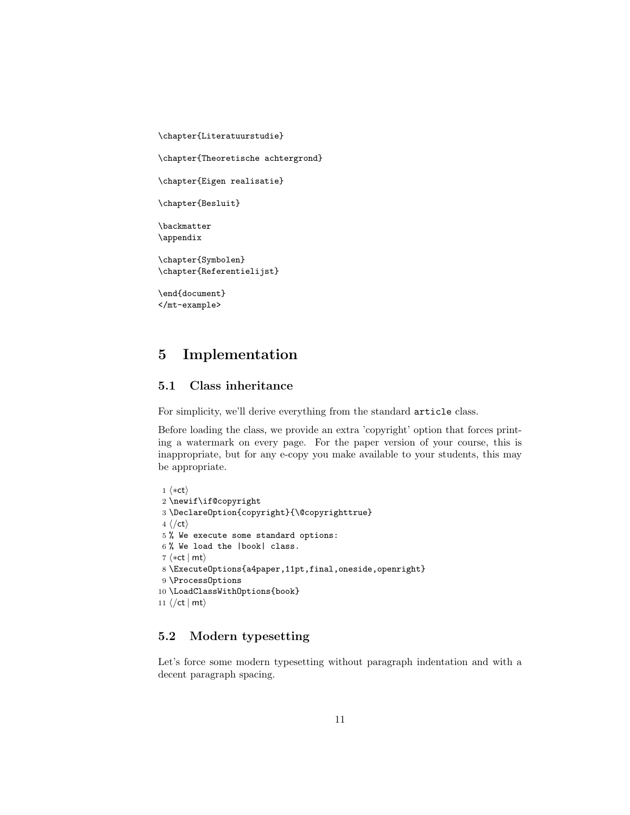```
\chapter{Theoretische achtergrond}
\chapter{Eigen realisatie}
\chapter{Besluit}
\backmatter
\appendix
\chapter{Symbolen}
\chapter{Referentielijst}
\end{document}
```
\chapter{Literatuurstudie}

</mt-example>

## 5.1 Class inheritance

5 Implementation

For simplicity, we'll derive everything from the standard article class.

Before loading the class, we provide an extra 'copyright' option that forces printing a watermark on every page. For the paper version of your course, this is inappropriate, but for any e-copy you make available to your students, this may be appropriate.

```
1 \langle *ct \rangle2 \newif\if@copyright
 3 \DeclareOption{copyright}{\@copyrighttrue}
 4 \langle \ranglect\rangle5 % We execute some standard options:
 6 % We load the |book| class.
 7 \langle *ct | mt \rangle8 \ExecuteOptions{a4paper,11pt,final,oneside,openright}
 9 \ProcessOptions
10 \LoadClassWithOptions{book}
11 \langle / ct | mt\rangle
```
### 5.2 Modern typesetting

Let's force some modern typesetting without paragraph indentation and with a decent paragraph spacing.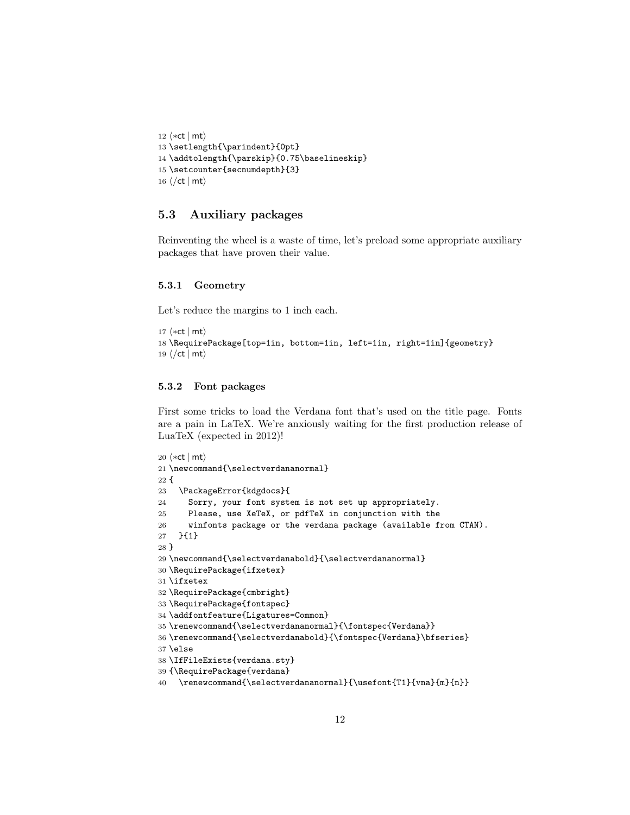```
12 \langle *ct | mt \rangle13 \setlength{\parindent}{0pt}
14 \addtolength{\parskip}{0.75\baselineskip}
15 \setcounter{secnumdepth}{3}
16 \langle/ct | mt\rangle
```
### 5.3 Auxiliary packages

Reinventing the wheel is a waste of time, let's preload some appropriate auxiliary packages that have proven their value.

#### 5.3.1 Geometry

Let's reduce the margins to 1 inch each.

```
17 \langle *ct | mt \rangle18 \RequirePackage[top=1in, bottom=1in, left=1in, right=1in]{geometry}
19 \langle/ct | mt\rangle
```
#### 5.3.2 Font packages

First some tricks to load the Verdana font that's used on the title page. Fonts are a pain in LaTeX. We're anxiously waiting for the first production release of LuaTeX (expected in 2012)!

```
20 \langle *ct | mt \rangle21 \newcommand{\selectverdananormal}
22 {
23 \PackageError{kdgdocs}{
24 Sorry, your font system is not set up appropriately.
25 Please, use XeTeX, or pdfTeX in conjunction with the
26 winfonts package or the verdana package (available from CTAN).
27 }{1}
28 }
29 \newcommand{\selectverdanabold}{\selectverdananormal}
30 \RequirePackage{ifxetex}
31 \ifxetex
32 \RequirePackage{cmbright}
33 \RequirePackage{fontspec}
34 \addfontfeature{Ligatures=Common}
35 \renewcommand{\selectverdananormal}{\fontspec{Verdana}}
36 \renewcommand{\selectverdanabold}{\fontspec{Verdana}\bfseries}
37 \else
38 \IfFileExists{verdana.sty}
39 {\RequirePackage{verdana}
40 \renewcommand{\selectverdananormal}{\usefont{T1}{vna}{m}{n}}
```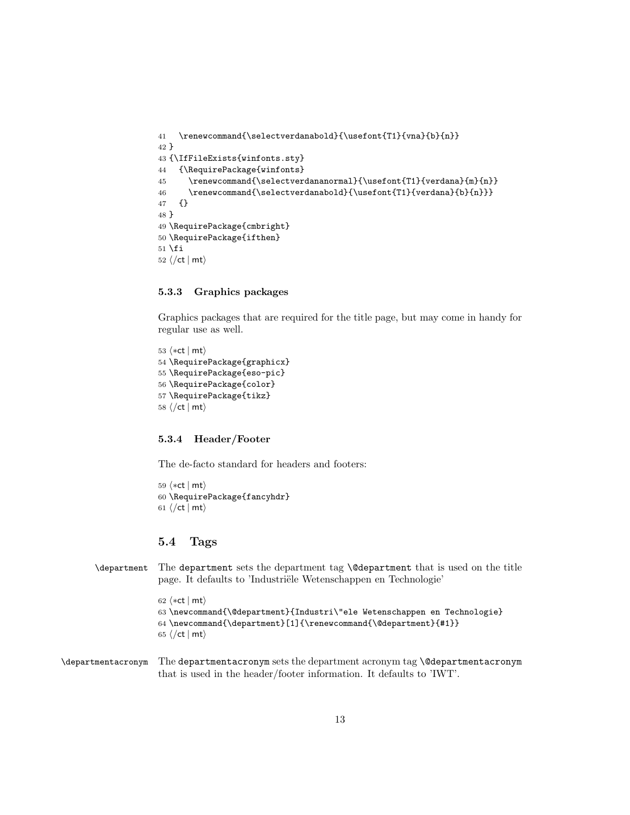```
41 \renewcommand{\selectverdanabold}{\usefont{T1}{vna}{b}{n}}
42 }
43 {\IfFileExists{winfonts.sty}
44 {\RequirePackage{winfonts}
45 \renewcommand{\selectverdananormal}{\usefont{T1}{verdana}{m}{n}}
46 \qquad \quad \quad \quad \text{the second method} \quad \text{unif} \quad \text{and} \quad \text{unif} \quad \text{unif} \quad \text{unif} \quad \text{unif} \quad \text{unif} \quad \text{unif} \quad \text{unif} \quad \text{unif} \quad \text{unif} \quad \text{unif} \quad \text{unif} \quad \text{unif} \quad \text{unif} \quad \text{unif} \quad \text{unif} \quad \text{unif} \quad \text{unif} \quad \text{unif} \quad \text{unif} \quad \text{unif} \quad \text{unif} \quad \text{unif} \quad \text{unif} \quad \47 {}
48 }
49 \RequirePackage{cmbright}
50 \RequirePackage{ifthen}
51 \fi
52 \langle/ct | mt\rangle
```
### 5.3.3 Graphics packages

Graphics packages that are required for the title page, but may come in handy for regular use as well.

 $\langle *ct | mt \rangle$  \RequirePackage{graphicx} \RequirePackage{eso-pic} \RequirePackage{color} \RequirePackage{tikz}  $\langle$ /ct | mt $\rangle$ 

#### 5.3.4 Header/Footer

The de-facto standard for headers and footers:

59  $\langle *ct | mt \rangle$ 60 \RequirePackage{fancyhdr} 61  $\langle$  /ct | mt $\rangle$ 

### 5.4 Tags

\department The department sets the department tag \@department that is used on the title page. It defaults to 'Industriële Wetenschappen en Technologie'

```
62 \langle *ct | mt \rangle63 \newcommand{\@department}{Industri\"ele Wetenschappen en Technologie}
64 \newcommand{\department}[1]{\renewcommand{\@department}{#1}}
65 \langle/ct | mt\rangle
```
\departmentacronym The departmentacronym sets the department acronym tag \@departmentacronym that is used in the header/footer information. It defaults to 'IWT'.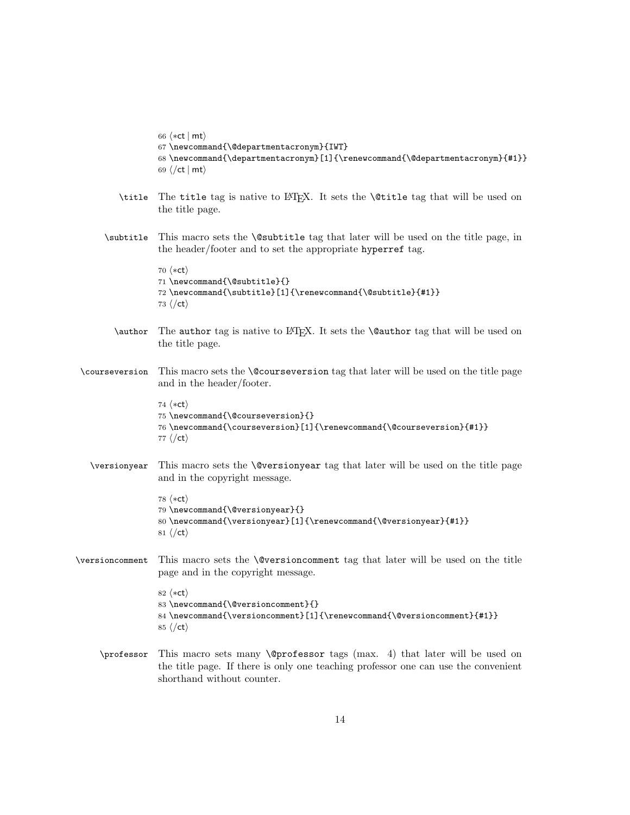```
66 \langle *ct | mt \rangle67 \newcommand{\@departmentacronym}{IWT}
                   68 \newcommand{\departmentacronym}[1]{\renewcommand{\@departmentacronym}{#1}}
                   69 \langle/ct | mt\rangle\title The title tag is native to LATEX. It sets the \@title tag that will be used on
                   the title page.
      \subtitle This macro sets the \@subtitle tag that later will be used on the title page, in
                   the header/footer and to set the appropriate hyperref tag.
                   70 \langle *ct \rangle71 \newcommand{\@subtitle}{}
                   72 \newcommand{\subtitle}[1]{\renewcommand{\@subtitle}{#1}}
                   73 \langle/ct\rangle\author The author tag is native to LATEX. It sets the \@author tag that will be used on
                   the title page.
\courseversion This macro sets the \@courseversion tag that later will be used on the title page
                   and in the header/footer.
                   74 \langle *ct \rangle75 \newcommand{\@courseversion}{}
                   76 \newcommand{\courseversion}[1]{\renewcommand{\@courseversion}{#1}}
                   77 \langle/ct\rangle\versionyear This macro sets the \@versionyear tag that later will be used on the title page
                   and in the copyright message.
                   78 \langle *ct \rangle79 \newcommand{\@versionyear}{}
                   80 \newcommand{\versionyear}[1]{\renewcommand{\@versionyear}{#1}}
                   81 \langle/ct\rangle\versioncomment This macro sets the \@versioncomment tag that later will be used on the title
                   page and in the copyright message.
                   82 \langle *ct \rangle83 \newcommand{\@versioncomment}{}
                   84 \newcommand{\versioncomment}[1]{\renewcommand{\@versioncomment}{#1}}
                   85\langle/ct\rangle\professor This macro sets many \@professor tags (max. 4) that later will be used on
                   the title page. If there is only one teaching professor one can use the convenient
                   shorthand without counter.
```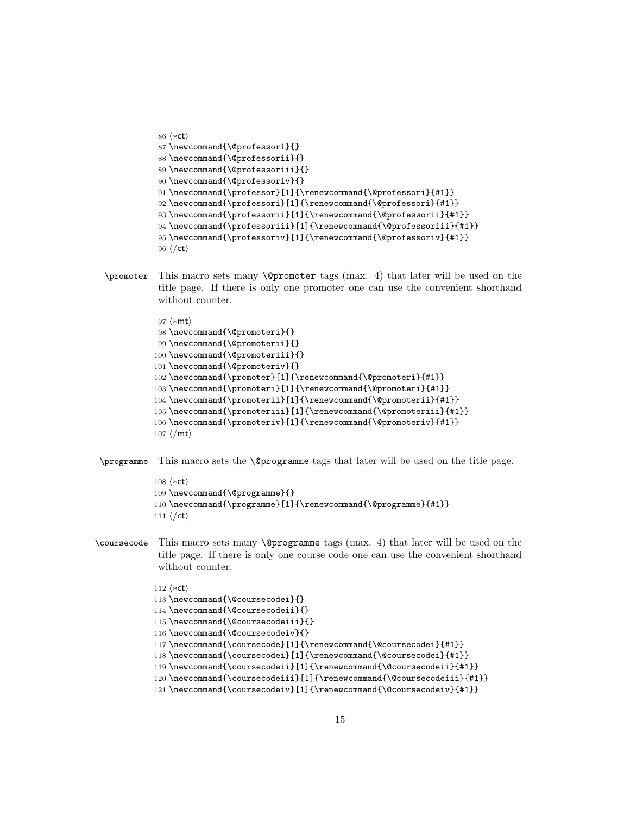```
86 \langle *ct \rangle87 \newcommand{\@professori}{}
88 \newcommand{\@professorii}{}
89 \newcommand{\@professoriii}{}
90 \newcommand{\@professoriv}{}
91 \newcommand{\professor}[1]{\renewcommand{\@professori}{#1}}
92 \newcommand{\professori}[1]{\renewcommand{\@professori}{#1}}
93 \newcommand{\professorii}[1]{\renewcommand{\@professorii}{#1}}
94 \newcommand{\professoriii}[1]{\renewcommand{\@professoriii}{#1}}
95 \newcommand{\professoriv}[1]{\renewcommand{\@professoriv}{#1}}
96 \langle/ct\rangle
```
\promoter This macro sets many \@promoter tags (max. 4) that later will be used on the title page. If there is only one promoter one can use the convenient shorthand without counter.

```
97 \langle*mt\rangle98 \newcommand{\@promoteri}{}
 99 \newcommand{\@promoterii}{}
100 \newcommand{\@promoteriii}{}
101 \newcommand{\@promoteriv}{}
102 \newcommand{\promoter}[1]{\renewcommand{\@promoteri}{#1}}
103 \newcommand{\promoteri}[1]{\renewcommand{\@promoteri}{#1}}
104 \newcommand{\promoterii}[1]{\renewcommand{\@promoterii}{#1}}
105 \newcommand{\promoteriii}[1]{\renewcommand{\@promoteriii}{#1}}
106 \newcommand{\promoteriv}[1]{\renewcommand{\@promoteriv}{#1}}
107 \langle/mt\rangle
```
\programme This macro sets the \@programme tags that later will be used on the title page.

```
108 \langle *ct \rangle109 \newcommand{\@programme}{}
110 \newcommand{\programme}[1]{\renewcommand{\@programme}{#1}}
111 \langle/ct\rangle
```
\coursecode This macro sets many \@programme tags (max. 4) that later will be used on the title page. If there is only one course code one can use the convenient shorthand without counter.

```
112 \langle *ct \rangle113 \newcommand{\@coursecodei}{}
114 \newcommand{\@coursecodeii}{}
115 \newcommand{\@coursecodeiii}{}
116 \newcommand{\@coursecodeiv}{}
117 \newcommand{\coursecode}[1]{\renewcommand{\@coursecodei}{#1}}
118 \newcommand{\coursecodei}[1]{\renewcommand{\@coursecodei}{#1}}
119 \newcommand{\coursecodeii}[1]{\renewcommand{\@coursecodeii}{#1}}
120 \newcommand{\coursecodeiii}[1]{\renewcommand{\@coursecodeiii}{#1}}
121 \newcommand{\coursecodeiv}[1]{\renewcommand{\@coursecodeiv}{#1}}
```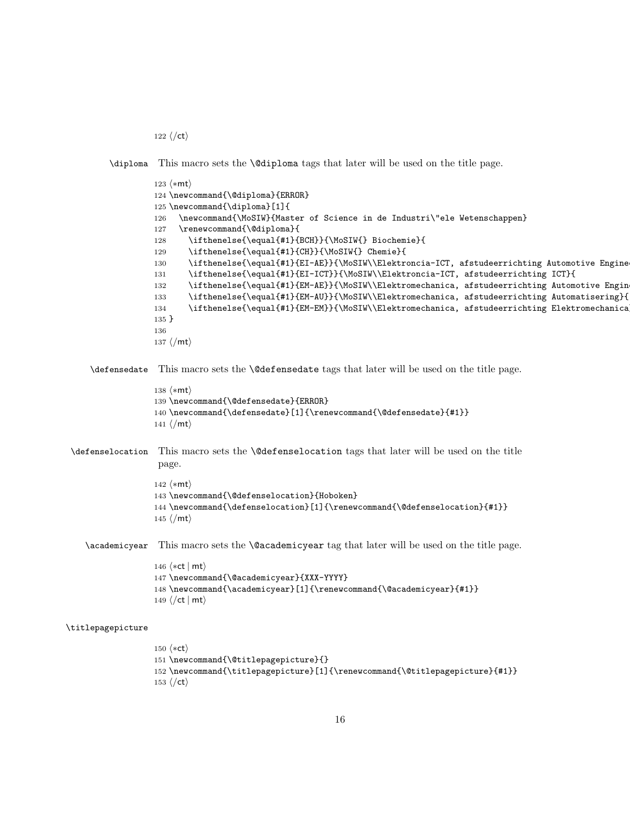122  $\langle$ /ct $\rangle$ 

153 $\langle$ /ct $\rangle$ 

\diploma This macro sets the \@diploma tags that later will be used on the title page.

```
123 \langle *mt \rangle124 \newcommand{\@diploma}{ERROR}
                   125 \newcommand{\diploma}[1]{
                   126 \newcommand{\MoSIW}{Master of Science in de Industri\"ele Wetenschappen}
                   127 \renewcommand{\@diploma}{
                   128 \ifthenelse{\equal{#1}{BCH}}{\MoSIW{} Biochemie}{
                   129 \ifthenelse{\equal{#1}{CH}}{\MoSIW{} Chemie}{
                   130 \ifthenelse{\equal{#1}{EI-AE}}{\MoSIW\\Elektroncia-ICT, afstudeerrichting Automotive Engine
                   131 \ifthenelse{\equal{#1}{EI-ICT}}{\MoSIW\\Elektroncia-ICT, afstudeerrichting ICT}{
                   132 \ifthenelse{\equal{#1}{EM-AE}}{\MoSIW\\Elektromechanica, afstudeerrichting Automotive Engin
                   133 \ifthenelse{\equal{#1}{EM-AU}}{\MoSIW\\Elektromechanica, afstudeerrichting Automatisering}{
                   134 \ifthenelse{\equal{#1}{EM-EM}}{\MoSIW\\Elektromechanica, afstudeerrichting Elektromechanica
                   135 }
                   136
                   137\langle/mt\rangle\defensedate This macro sets the \@defensedate tags that later will be used on the title page.
                   138 \langle *mt \rangle139 \newcommand{\@defensedate}{ERROR}
                   140 \newcommand{\defensedate}[1]{\renewcommand{\@defensedate}{#1}}
                   141 \langle/mt\rangle\defenselocation This macro sets the \@defenselocation tags that later will be used on the title
                    page.
                   142 \langle *mt \rangle143 \newcommand{\@defenselocation}{Hoboken}
                   144 \newcommand{\defenselocation}[1]{\renewcommand{\@defenselocation}{#1}}
                   145\langle/mt\rangle\academicyear This macro sets the \@academicyear tag that later will be used on the title page.
                   146 \langle *ct | mt \rangle147 \newcommand{\@academicyear}{XXX-YYYY}
                   148 \newcommand{\academicyear}[1]{\renewcommand{\@academicyear}{#1}}
                   149 \langle/ct | mt\rangle\titlepagepicture
                   150 \langle *ct \rangle151 \newcommand{\@titlepagepicture}{}
                   152 \newcommand{\titlepagepicture}[1]{\renewcommand{\@titlepagepicture}{#1}}
```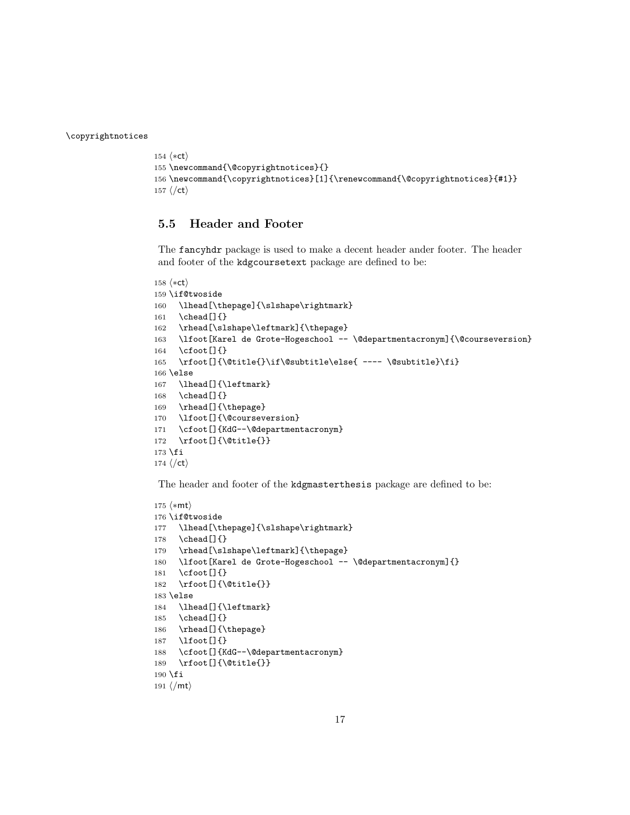\copyrightnotices

```
154 \langle *ct \rangle155 \newcommand{\@copyrightnotices}{}
156 \newcommand{\copyrightnotices}[1]{\renewcommand{\@copyrightnotices}{#1}}
157\langle/ct\rangle
```
### 5.5 Header and Footer

The fancyhdr package is used to make a decent header ander footer. The header and footer of the kdgcoursetext package are defined to be:

```
158 \langle *ct \rangle159 \if@twoside
160 \lhead[\thepage]{\slshape\rightmark}
161 \chead[]{}
162 \rhead[\slshape\leftmark]{\thepage}
163 \lfoot[Karel de Grote-Hogeschool -- \@departmentacronym]{\@courseversion}
164 \cfoot[]{}
165 \rfoot[]{\@title{}\if\@subtitle\else{ ---- \@subtitle}\fi}
166 \else
167 \lhead[]{\leftmark}
168 \chead[]{}
169 \rhead[]{\thepage}
170 \lfoot[]{\@courseversion}
171 \cfoot[]{KdG--\@departmentacronym}
172 \rfoot[]{\@title{}}
173 \fi
174 \langle/ct\rangle
```
The header and footer of the kdgmasterthesis package are defined to be:

```
175 \langle *mt \rangle176 \if@twoside
177 \lhead[\thepage]{\slshape\rightmark}
178 \chead[]{}
179 \rhead[\slshape\leftmark]{\thepage}
180 \lfoot[Karel de Grote-Hogeschool -- \@departmentacronym]{}
181 \cfoot[]{}
182 \rfoot[]{\@title{}}
183 \else
184 \lhead[]{\leftmark}
185 \chead[]{}
186 \rhead[]{\thepage}
187 \lfoot[]{}
188 \cfoot[]{KdG--\@departmentacronym}
189 \rfoot[]{\@title{}}
190 \overline{f}i
191 \langle/mt\rangle
```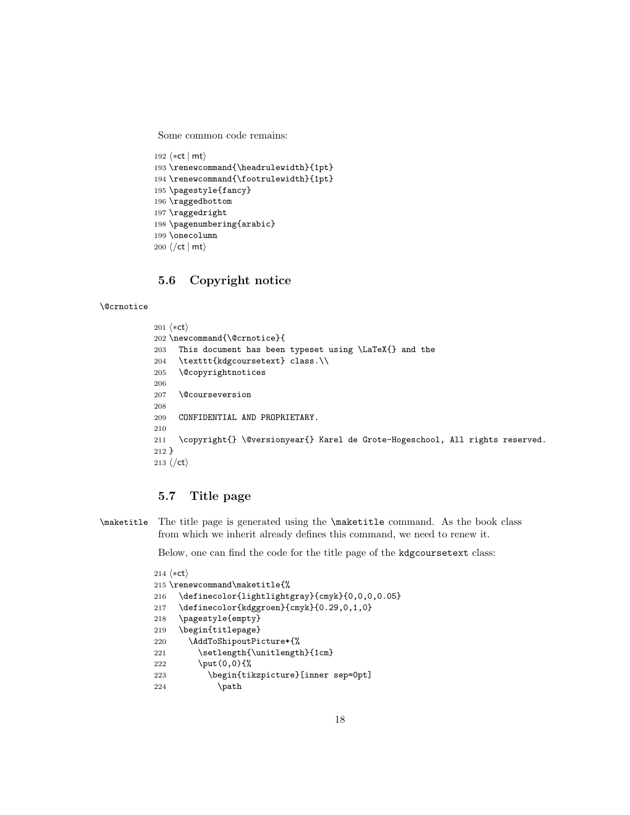Some common code remains:

```
192 \langle *ct | mt \rangle193 \renewcommand{\headrulewidth}{1pt}
194 \renewcommand{\footrulewidth}{1pt}
195 \pagestyle{fancy}
196 \raggedbottom
197 \raggedright
198 \pagenumbering{arabic}
199 \onecolumn
200 \langle/ct | mt\rangle
```
### 5.6 Copyright notice

#### \@crnotice

```
201 (*ct)
202 \newcommand{\@crnotice}{
203 This document has been typeset using \LaTeX{} and the
204 \texttt{kdgcoursetext} class.\\
205 \@copyrightnotices
206
207 \@courseversion
208
209 CONFIDENTIAL AND PROPRIETARY.
210
211 \copyright{} \@versionyear{} Karel de Grote-Hogeschool, All rights reserved.
212 }
213 \langle/ct\rangle
```
### 5.7 Title page

```
\maketitle The title page is generated using the \maketitle command. As the book class
            from which we inherit already defines this command, we need to renew it.
```
Below, one can find the code for the title page of the kdgcoursetext class:

```
214 (*ct)
215 \renewcommand\maketitle{%
216 \definecolor{lightlightgray}{cmyk}{0,0,0,0.05}
217 \definecolor{kdggroen}{cmyk}{0.29,0,1,0}
218 \pagestyle{empty}
219 \begin{titlepage}
220 \AddToShipoutPicture*{%
221 \setlength{\unitlength}{1cm}
222 \put(0,0){%
223 \begin{tikzpicture}[inner sep=0pt]
224 \path
```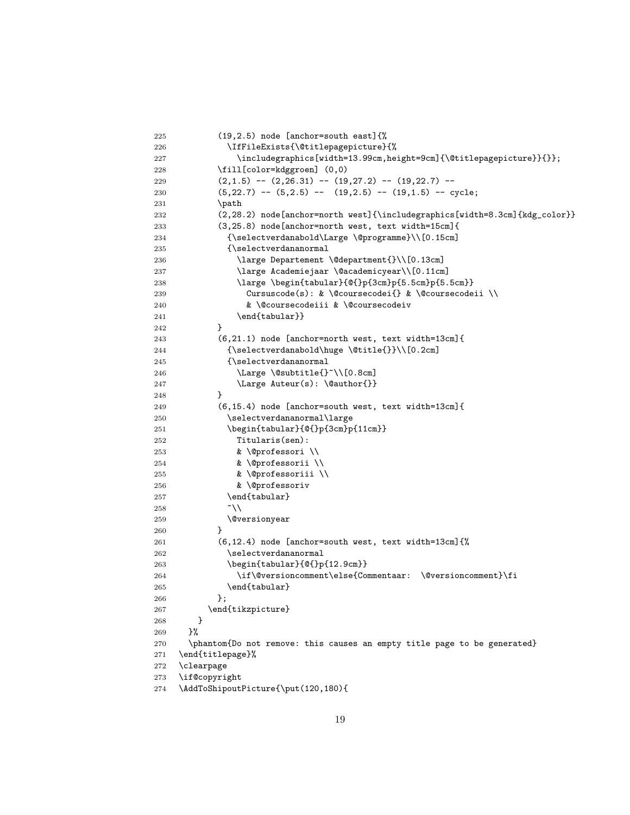```
225 (19,2.5) node [anchor=south east]{%
226 \IfFileExists{\@titlepagepicture}{%
227 \includegraphics[width=13.99cm,height=9cm]{\@titlepagepicture}}{}};
228 \fill[color=kdggroen] (0,0)
229 (2,1.5) -- (2,26.31) -- (19,27.2) -- (19,22.7) --
230 (5,22.7) -- (5,2.5) -- (19,2.5) -- (19,1.5) -- cycle;
231 \path
232 (2,28.2) node[anchor=north west]{\includegraphics[width=8.3cm]{kdg_color}}
233 (3,25.8) node[anchor=north west, text width=15cm]{
234 {\selectverdanabold\Large \@programme}\\[0.15cm]
235 {\selectverdananormal
236 \large Departement \@department{}\\[0.13cm]
237 \large Academiejaar \@academicyear\\[0.11cm]
238 \large \begin{tabular}{@{}p{3cm}p{5.5cm}p{5.5cm}}
239 Cursuscode(s): & \@coursecodei{} & \@coursecodeii \\
240 & \@coursecodeiii & \@coursecodeiv
241 \end{tabular}}
242 }
243 (6,21.1) node [anchor=north west, text width=13cm]{
244 {\selectverdanabold\huge \@title{}}\\[0.2cm]
245 {\selectverdananormal
246 \Large \@subtitle{}~\\[0.8cm]
247 \Large Auteur(s): \@author{}}
248 }
249 (6,15.4) node [anchor=south west, text width=13cm]{
250 \selectverdananormal\large
251 \begin{tabular}{@{}p{3cm}p{11cm}}
252 Titularis(sen):
253 & \@professori \\
254 & \@professorii \\
255 & \@professoriii \\
256 & \@professoriv
257 \end{tabular}
258   \sim \\
259 \@versionyear
260 }
261 (6,12.4) node [anchor=south west, text width=13cm]{%
262 \selectverdananormal
263 \begin{tabular}{0{}p{12.9cm}}
264 \if\@versioncomment\else{Commentaar: \@versioncomment}\fi
265 \end{tabular}
266 };
267 \end{tikzpicture}
268 }
269 }%
270 \phantom{Do not remove: this causes an empty title page to be generated}
271 \end{titlepage}%
272 \clearpage
273 \if@copyright
274 \AddToShipoutPicture{\put(120,180){
```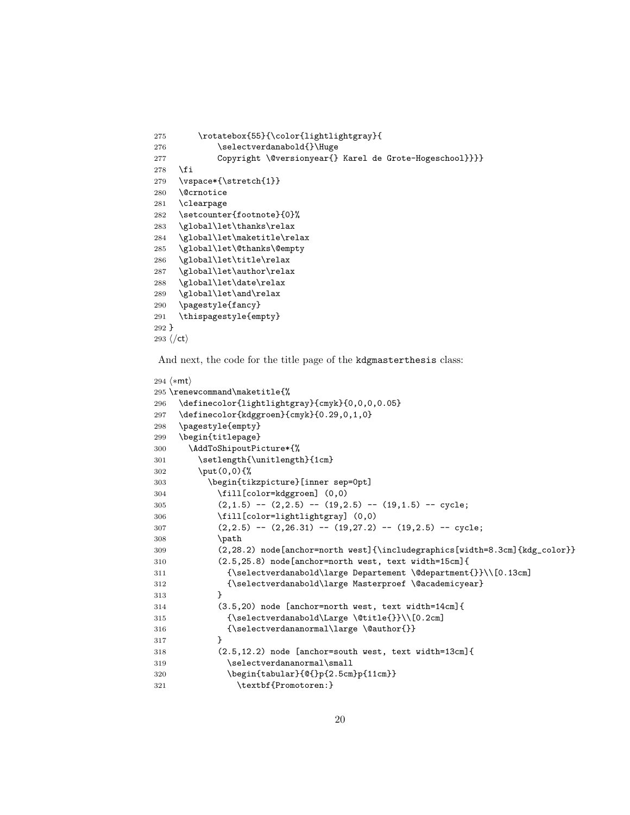```
275 \rotatebox{55}{\color{lightlightgray}{
276 \selectverdanabold{}\Huge
277 Copyright \@versionyear{} Karel de Grote-Hogeschool}}}}
278 \fi
279 \vspace*{\stretch{1}}
280 \@crnotice
281 \clearpage
282 \setcounter{footnote}{0}%
283 \global\let\thanks\relax
284 \global\let\maketitle\relax
285 \global\let\@thanks\@empty
286 \global\let\title\relax
287 \global\let\author\relax
288 \global\let\date\relax
289 \global\let\and\relax
290 \pagestyle{fancy}
291 \thispagestyle{empty}
292 }
293 \langle/ct\rangle
```
And next, the code for the title page of the kdgmasterthesis class:

```
294 \langle *mt \rangle295 \renewcommand\maketitle{%
296 \definecolor{lightlightgray}{cmyk}{0,0,0,0.05}
297 \definecolor{kdggroen}{cmyk}{0.29,0,1,0}
298 \pagestyle{empty}
299 \begin{titlepage}
300 \AddToShipoutPicture*{%
301 \setlength{\unitlength}{1cm}
302 \put(0,0){%
303 \begin{tikzpicture}[inner sep=0pt]
304 \fill[color=kdggroen] (0,0)
305 (2,1.5) -- (2,2.5) -- (19,2.5) -- (19,1.5) -- cycle;
306 \fill[color=lightlightgray] (0,0)
307 (2,2.5) -- (2,26.31) -- (19,27.2) -- (19,2.5) -- cycle;
308 \path
309 (2,28.2) node[anchor=north west]{\includegraphics[width=8.3cm]{kdg_color}}
310 (2.5,25.8) node[anchor=north west, text width=15cm]{
311 {\selectverdanabold\large Departement \@department{}}\\[0.13cm]
312 {\selectverdanabold\large Masterproef \@academicyear}
313 }
314 (3.5,20) node [anchor=north west, text width=14cm]{
315 {\selectverdanabold\Large \@title{}}\\[0.2cm]
316 {\selectverdananormal\large \@author{}}
317 }
318 (2.5,12.2) node [anchor=south west, text width=13cm]{
319 \selectverdananormal\small
320 \begin{tabular}{@{}p{2.5cm}p{11cm}}
321 \textbf{Promotoren:}
```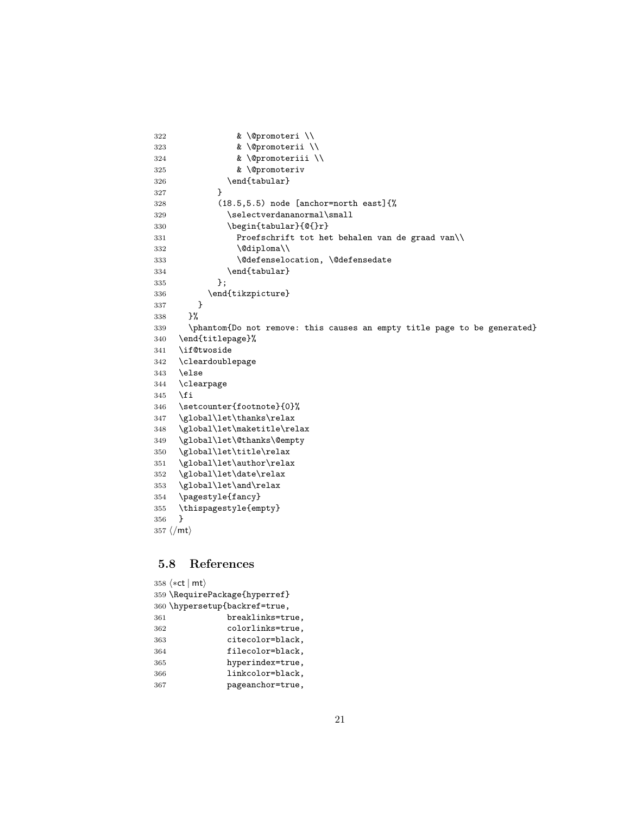```
322 & \@promoteri \\
323 & \@promoterii \\
324 & \@promoteriii \\
325 & \@promoteriv
326 \end{tabular}
327 }
328 (18.5,5.5) node [anchor=north east]{%
329 \selectverdananormal\small
330 \begin{tabular}{@{}r}
331 Proefschrift tot het behalen van de graad van\\
332 \\Gdiploma\\
333 \@defenselocation, \@defensedate
334 \end{tabular}
335 };
336 \end{tikzpicture}<br>337 }
337 }
338 }%
339 \phantom{Do not remove: this causes an empty title page to be generated}
340 \end{titlepage}%
341 \if@twoside
342 \cleardoublepage
343 \else
344 \clearpage
345 \fi
346 \setcounter{footnote}{0}%
347 \global\let\thanks\relax
348 \global\let\maketitle\relax
349 \global\let\@thanks\@empty
350 \global\let\title\relax
351 \global\let\author\relax
352 \global\let\date\relax
353 \global\let\and\relax
354 \pagestyle{fancy}
355 \thispagestyle{empty}
356 }
357 \langle/mt\rangle
```
### 5.8 References

| 358 $\langle \ast \mathsf{ct} \mid \mathsf{mt} \rangle$ |  |  |  |  |
|---------------------------------------------------------|--|--|--|--|
| 359 \RequirePackage{hyperref}                           |  |  |  |  |
| 360 \hypersetup{backref=true,                           |  |  |  |  |
| breaklinks=true,<br>361                                 |  |  |  |  |
| colorlinks=true,<br>362                                 |  |  |  |  |
| citecolor=black,<br>363                                 |  |  |  |  |
| filecolor=black,<br>364                                 |  |  |  |  |
| hyperindex=true,<br>365                                 |  |  |  |  |
| linkcolor=black,<br>366                                 |  |  |  |  |
| pageanchor=true,<br>367                                 |  |  |  |  |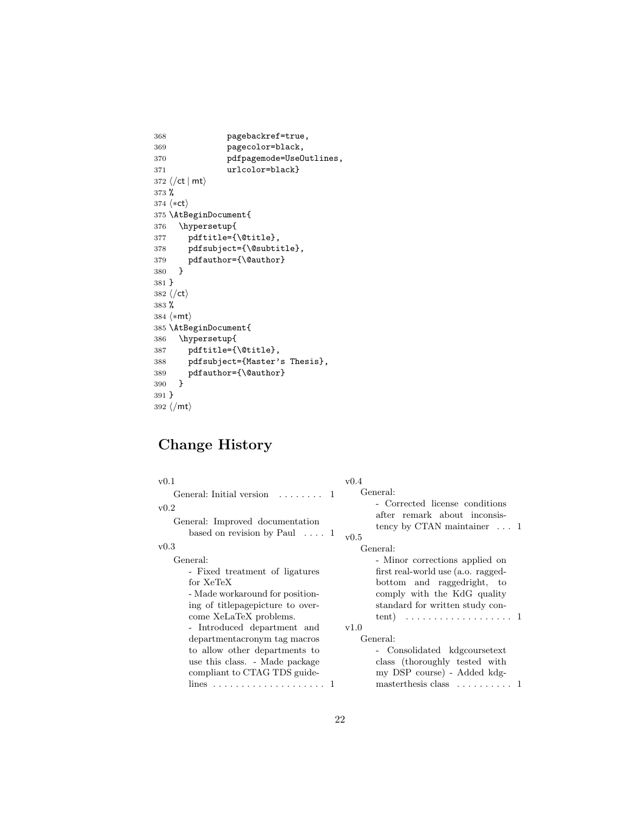```
368 pagebackref=true,
369 pagecolor=black,<br>370 pdfpagemode=UseO
                 pdfpagemode=UseOutlines,
371 urlcolor=black}
372 \langle/ct | mt\rangle373 %
374 \langle *ct \rangle375 \AtBeginDocument{
376 \hypersetup{
377 pdftitle={\@title},
378 pdfsubject={\@subtitle},
379 pdfauthor={\@author} 380 }
380\,381 }
382 \langle/ct\rangle383 %
384 \langle*mt\rangle385 \AtBeginDocument{
386 \hypersetup{
387 pdftitle={\@title},
388 pdfsubject={Master's Thesis},
389 pdfauthor={\@author} 390 }
390 }
391 }
392 \langle/mt\rangle
```
# Change History

| v(0.1)                                                                                                                                                          | v(0.4)                                                                                                                                                                                                                      |
|-----------------------------------------------------------------------------------------------------------------------------------------------------------------|-----------------------------------------------------------------------------------------------------------------------------------------------------------------------------------------------------------------------------|
| General: Initial version $\dots \dots 1$<br>v0.2<br>General: Improved documentation<br>based on revision by Paul $\ldots$ 1                                     | General:<br>- Corrected license conditions<br>after remark about inconsis-<br>tency by CTAN maintainer $\dots$ 1<br>v0.5                                                                                                    |
| $_{\rm v0.3}$                                                                                                                                                   | General:                                                                                                                                                                                                                    |
| General:<br>- Fixed treatment of ligatures<br>for XeTeX<br>- Made workaround for position-<br>ing of titlepagepicture to over-<br>come XeLaTeX problems.        | - Minor corrections applied on<br>first real-world use (a.o. ragged-<br>bottom and raggedright, to<br>comply with the KdG quality<br>standard for written study con-<br>tent) $\ldots \ldots \ldots \ldots \ldots \ldots 1$ |
| - Introduced department and<br>department acronym tag macros<br>to allow other departments to<br>use this class. - Made package<br>compliant to CTAG TDS guide- | v1.0<br>General:<br>- Consolidated kdgcoursetext<br>class (thoroughly tested with<br>my DSP course) - Added kdg-<br>master thesis class $\dots \dots \dots 1$                                                               |
|                                                                                                                                                                 |                                                                                                                                                                                                                             |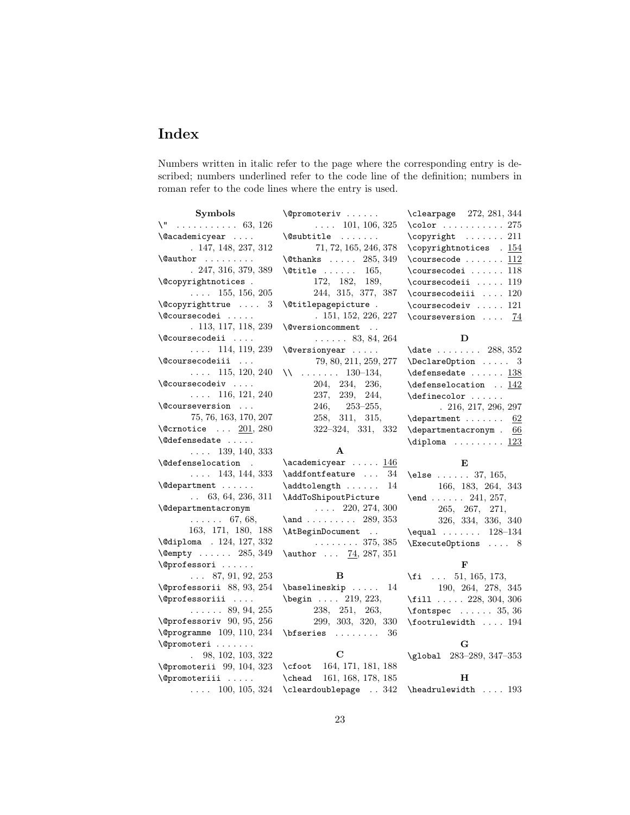# Index

Numbers written in italic refer to the page where the corresponding entry is described; numbers underlined refer to the code line of the definition; numbers in roman refer to the code lines where the entry is used.

| Symbols                                       | \@promoteriv                                             | \clearpage 272, 281, 344                                        |
|-----------------------------------------------|----------------------------------------------------------|-----------------------------------------------------------------|
| $\vee$ 63, 126                                | $\ldots$ 101, 106, 325                                   | $\cdot$ 275                                                     |
| \@academicyear                                | $\text{Qsubtitle} \dots \dots$                           | \copyright  211                                                 |
| . 147, 148, 237, 312                          | 71, 72, 165, 246, 378                                    | \copyrightnotices . 154                                         |
| $\lambda$ author $\ldots \ldots$              | $\text{Cthanks} \dots 285, 349$                          | $\verb+\course code + \ldots + \underline{112}$                 |
| $. \,247, 316, 379, 389$                      | $\text{Vertile} \dots \dots \quad 165,$                  | $\text{coursecode}: \dots \dots \ 118$                          |
| \@copyrightnotices .                          | 172, 182, 189,                                           | $\text{coursecodei}$ 119                                        |
| $\ldots$ 155, 156, 205                        | 244, 315, 377, 387                                       | $\verb+\course+ codeiii  120$                                   |
| $\text{Qcopyrighttrue} \dots 3$               | \@titlepagepicture .                                     | $\verb+\coursecodeiv  121$                                      |
| \@coursecodei                                 | . 151, 152, 226, 227                                     | \courseversion  74                                              |
| . 113, 117, 118, 239                          | \@versioncomment                                         |                                                                 |
| \@coursecodeii                                | $\ldots$ . 83, 84, 264                                   | D                                                               |
| $\ldots$ 114, 119, 239                        | $\sqrt{Q}versionyear \dots$                              | $\label{eq:1}$<br>(date $\,\ldots\, \ldots\, \ldots\,$ 288, 352 |
| \@coursecodeiii                               | 79, 80, 211, 259, 277                                    | $\Delta$ PeclareOption  3                                       |
| $\ldots$ 115, 120, 240                        | $\mathcal{N}$ 130–134,                                   | $\def{ensedate   138$                                           |
| \@coursecodeiv                                | 204, 234, 236,                                           | $\def{enselocation \underline{142}}$                            |
| $\ldots$ 116, 121, 240                        | 237, 239, 244,                                           | $\definecolor$                                                  |
| \@courseversion                               | $246, 253 - 255,$                                        | .216, 217, 296, 297                                             |
| 75, 76, 163, 170, 207                         | 258, 311, 315,                                           | $\texttt{department} \dots \dots \underline{62}$                |
| $\text{Qcrnotice} \dots \underline{201}, 280$ | $322 - 324, 331, 332$                                    | $\text{departmentacronym}$ . 66                                 |
| <b><i><u>Nedefensedate</u></i></b>            |                                                          | $\diploma$ $123$                                                |
| $\ldots$ 139, 140, 333                        | $\mathbf{A}$                                             |                                                                 |
|                                               | $\academicyear \dots .146$                               | E                                                               |
| <i><b>\@defenselocation</b></i><br>$\sim 10$  |                                                          |                                                                 |
| $\ldots$ 143, 144, 333                        | $\addfont feature \dots 34$                              | $\text{else} \dots 37, 165,$                                    |
| \@department                                  | $\addtolength  $<br>14                                   | 166, 183, 264, 343                                              |
| $\ldots$ 63, 64, 236, 311                     | \AddToShipoutPicture                                     | $\text{end } \dots \dots \quad 241, 257,$                       |
| <i><b>\@departmentacronym</b></i>             | $\ldots$ 220, 274, 300                                   | 265, 267, 271,                                                  |
| $\ldots \ldots 67, 68,$                       | $\lambda$ 289, 353                                       | 326, 334, 336, 340                                              |
| 163, 171, 180, 188                            | \AtBeginDocument                                         | \equal $\ldots$ 128-134                                         |
| \@diploma . 124, 127, 332                     | . 375, 385                                               | \ExecuteOptions  8                                              |
| $\text{Qempty} \dots \dots \quad 285, 349$    | \author $\ldots$ 74, 287, 351                            |                                                                 |
| \@professori                                  |                                                          | F                                                               |
| $\ldots$ 87, 91, 92, 253                      | в                                                        | $\{ f_i \dots 51, 165, 173, \ldots \}$                          |
| $\sqrt{oprofessorii}$ 88, 93, 254             | $\{\text{baselineskip} \dots 14\}$                       | 190, 264, 278, 345                                              |
| \@professoriii                                | $\begin{bmatrix} \text{begin} 0.19 \\ 223 \end{bmatrix}$ | $\text{fill}$ 228, 304, 306                                     |
| $\ldots$ $89, 94, 255$                        | 238, 251, 263,                                           | $\{\text{font spec } \dots \dots \ 35, \ 36\}$                  |
| $\sqrt{q}$ professoriv 90, 95, 256            | 299, 303, 320, 330                                       | $\verb+\footrule+ with  194$                                    |
| $\qquad$ (Oprogramme 109, 110, 234            | $\b$ fseries<br>36                                       |                                                                 |
| \@promoteri                                   |                                                          | G                                                               |
| 98, 102, 103, 322<br>$\ddot{\phantom{a}}$     | C                                                        | \global 283-289, 347-353                                        |
| \@promoterii 99, 104, 323                     | \cfoot 164, 171, 181, 188                                |                                                                 |
| \@promoteriii                                 | \chead 161, 168, 178, 185                                | н                                                               |
| $\ldots$ 100, 105, 324                        | \cleardoublepage  342                                    | $\headrulewidth$ 193                                            |